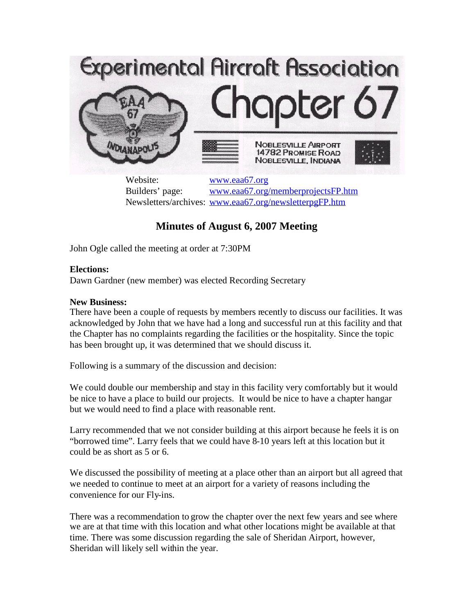

Website: [www.eaa67.org](http://www.eaa67.org/) Builders' page: [www.eaa67.org/memberprojectsFP.htm](http://www.eaa67.org/memberprojectsFP.htm) Newsletters/archives: [www.eaa67.org/newsletterpgFP.htm](http://www.eaa67.org/newsletterpgFP.htm)

# **Minutes of August 6, 2007 Meeting**

John Ogle called the meeting at order at 7:30PM

## **Elections:**

Dawn Gardner (new member) was elected Recording Secretary

## **New Business:**

There have been a couple of requests by members recently to discuss our facilities. It was acknowledged by John that we have had a long and successful run at this facility and that the Chapter has no complaints regarding the facilities or the hospitality. Since the topic has been brought up, it was determined that we should discuss it.

Following is a summary of the discussion and decision:

We could double our membership and stay in this facility very comfortably but it would be nice to have a place to build our projects. It would be nice to have a chapter hangar but we would need to find a place with reasonable rent.

Larry recommended that we not consider building at this airport because he feels it is on "borrowed time". Larry feels that we could have 8-10 years left at this location but it could be as short as 5 or 6.

We discussed the possibility of meeting at a place other than an airport but all agreed that we needed to continue to meet at an airport for a variety of reasons including the convenience for our Fly-ins.

There was a recommendation to grow the chapter over the next few years and see where we are at that time with this location and what other locations might be available at that time. There was some discussion regarding the sale of Sheridan Airport, however, Sheridan will likely sell within the year.